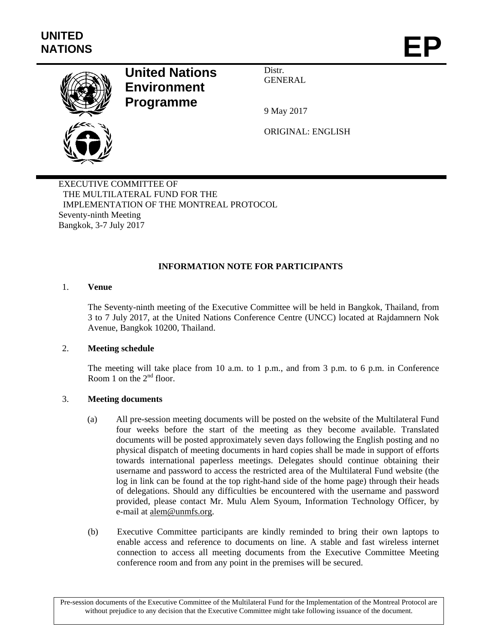

# **United Nations Environment Programme**

Distr. GENERAL

9 May 2017

ORIGINAL: ENGLISH

EXECUTIVE COMMITTEE OF THE MULTILATERAL FUND FOR THE IMPLEMENTATION OF THE MONTREAL PROTOCOL Seventy-ninth Meeting Bangkok, 3-7 July 2017

# **INFORMATION NOTE FOR PARTICIPANTS**

#### 1. **Venue**

The Seventy-ninth meeting of the Executive Committee will be held in Bangkok, Thailand, from 3 to 7 July 2017, at the United Nations Conference Centre (UNCC) located at Rajdamnern Nok Avenue, Bangkok 10200, Thailand.

## 2. **Meeting schedule**

The meeting will take place from 10 a.m. to 1 p.m., and from 3 p.m. to 6 p.m. in Conference Room 1 on the  $2<sup>nd</sup>$  floor.

#### 3. **Meeting documents**

- (a) All pre-session meeting documents will be posted on the website of the Multilateral Fund four weeks before the start of the meeting as they become available. Translated documents will be posted approximately seven days following the English posting and no physical dispatch of meeting documents in hard copies shall be made in support of efforts towards international paperless meetings. Delegates should continue obtaining their username and password to access the restricted area of the Multilateral Fund website (the log in link can be found at the top right-hand side of the home page) through their heads of delegations. Should any difficulties be encountered with the username and password provided, please contact Mr. Mulu Alem Syoum, Information Technology Officer, by e-mail at alem@unmfs.org.
- (b) Executive Committee participants are kindly reminded to bring their own laptops to enable access and reference to documents on line. A stable and fast wireless internet connection to access all meeting documents from the Executive Committee Meeting conference room and from any point in the premises will be secured.

Pre-session documents of the Executive Committee of the Multilateral Fund for the Implementation of the Montreal Protocol are without prejudice to any decision that the Executive Committee might take following issuance of the document.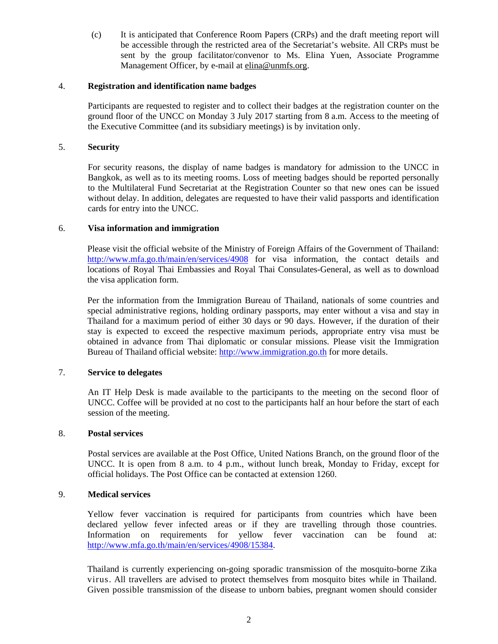(c) It is anticipated that Conference Room Papers (CRPs) and the draft meeting report will be accessible through the restricted area of the Secretariat's website. All CRPs must be sent by the group facilitator/convenor to Ms. Elina Yuen, Associate Programme Management Officer, by e-mail at elina@unmfs.org.

### 4. **Registration and identification name badges**

Participants are requested to register and to collect their badges at the registration counter on the ground floor of the UNCC on Monday 3 July 2017 starting from 8 a.m. Access to the meeting of the Executive Committee (and its subsidiary meetings) is by invitation only.

#### 5. **Security**

For security reasons, the display of name badges is mandatory for admission to the UNCC in Bangkok, as well as to its meeting rooms. Loss of meeting badges should be reported personally to the Multilateral Fund Secretariat at the Registration Counter so that new ones can be issued without delay. In addition, delegates are requested to have their valid passports and identification cards for entry into the UNCC.

#### 6. **Visa information and immigration**

Please visit the official website of the Ministry of Foreign Affairs of the Government of Thailand: http://www.mfa.go.th/main/en/services/4908 for visa information, the contact details and locations of Royal Thai Embassies and Royal Thai Consulates-General, as well as to download the visa application form.

Per the information from the Immigration Bureau of Thailand, nationals of some countries and special administrative regions, holding ordinary passports, may enter without a visa and stay in Thailand for a maximum period of either 30 days or 90 days. However, if the duration of their stay is expected to exceed the respective maximum periods, appropriate entry visa must be obtained in advance from Thai diplomatic or consular missions. Please visit the Immigration Bureau of Thailand official website: http://www.immigration.go.th for more details.

#### 7. **Service to delegates**

An IT Help Desk is made available to the participants to the meeting on the second floor of UNCC. Coffee will be provided at no cost to the participants half an hour before the start of each session of the meeting.

#### 8. **Postal services**

Postal services are available at the Post Office, United Nations Branch, on the ground floor of the UNCC. It is open from 8 a.m. to 4 p.m., without lunch break, Monday to Friday, except for official holidays. The Post Office can be contacted at extension 1260.

#### 9. **Medical services**

Yellow fever vaccination is required for participants from countries which have been declared yellow fever infected areas or if they are travelling through those countries. Information on requirements for yellow fever vaccination can be found at: http://www.mfa.go.th/main/en/services/4908/15384.

Thailand is currently experiencing on-going sporadic transmission of the mosquito-borne Zika virus. All travellers are advised to protect themselves from mosquito bites while in Thailand. Given possible transmission of the disease to unborn babies, pregnant women should consider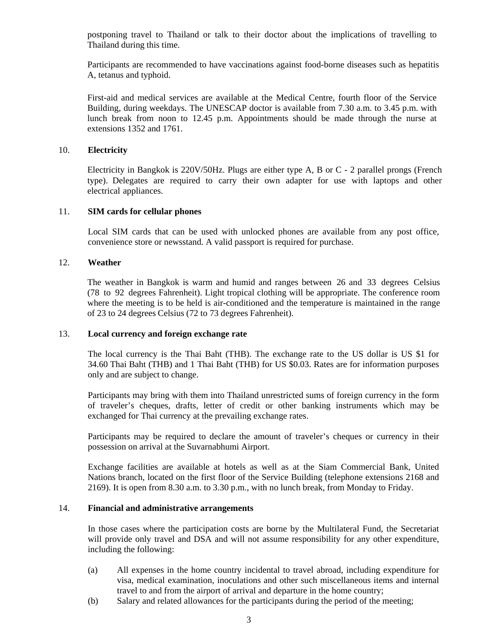postponing travel to Thailand or talk to their doctor about the implications of travelling to Thailand during this time.

Participants are recommended to have vaccinations against food-borne diseases such as hepatitis A, tetanus and typhoid.

First-aid and medical services are available at the Medical Centre, fourth floor of the Service Building, during weekdays. The UNESCAP doctor is available from 7.30 a.m. to 3.45 p.m. with lunch break from noon to 12.45 p.m. Appointments should be made through the nurse at extensions 1352 and 1761.

#### 10. **Electricity**

Electricity in Bangkok is 220V/50Hz. Plugs are either type A, B or C - 2 parallel prongs (French type). Delegates are required to carry their own adapter for use with laptops and other electrical appliances.

#### 11. **SIM cards for cellular phones**

Local SIM cards that can be used with unlocked phones are available from any post office, convenience store or newsstand. A valid passport is required for purchase.

#### 12. **Weather**

The weather in Bangkok is warm and humid and ranges between 26 and 33 degrees Celsius (78 to 92 degrees Fahrenheit). Light tropical clothing will be appropriate. The conference room where the meeting is to be held is air-conditioned and the temperature is maintained in the range of 23 to 24 degrees Celsius (72 to 73 degrees Fahrenheit).

#### 13. **Local currency and foreign exchange rate**

The local currency is the Thai Baht (THB). The exchange rate to the US dollar is US \$1 for 34.60 Thai Baht (THB) and 1 Thai Baht (THB) for US \$0.03. Rates are for information purposes only and are subject to change.

Participants may bring with them into Thailand unrestricted sums of foreign currency in the form of traveler's cheques, drafts, letter of credit or other banking instruments which may be exchanged for Thai currency at the prevailing exchange rates.

Participants may be required to declare the amount of traveler's cheques or currency in their possession on arrival at the Suvarnabhumi Airport.

Exchange facilities are available at hotels as well as at the Siam Commercial Bank, United Nations branch, located on the first floor of the Service Building (telephone extensions 2168 and 2169). It is open from 8.30 a.m. to 3.30 p.m., with no lunch break, from Monday to Friday.

#### 14. **Financial and administrative arrangements**

In those cases where the participation costs are borne by the Multilateral Fund, the Secretariat will provide only travel and DSA and will not assume responsibility for any other expenditure, including the following:

- (a) All expenses in the home country incidental to travel abroad, including expenditure for visa, medical examination, inoculations and other such miscellaneous items and internal travel to and from the airport of arrival and departure in the home country;
- (b) Salary and related allowances for the participants during the period of the meeting;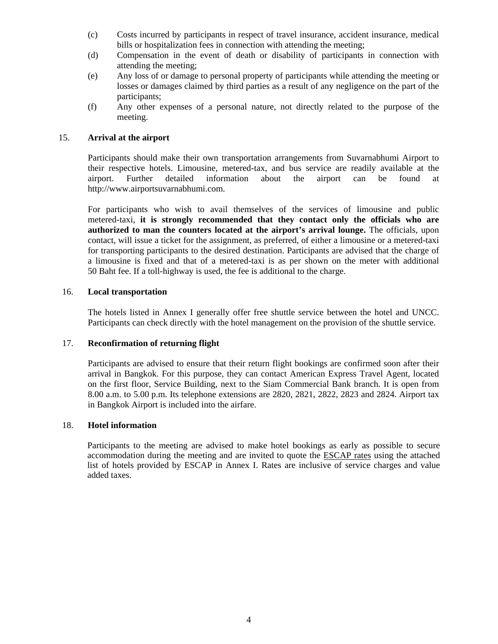- (c) Costs incurred by participants in respect of travel insurance, accident insurance, medical bills or hospitalization fees in connection with attending the meeting;
- (d) Compensation in the event of death or disability of participants in connection with attending the meeting;
- (e) Any loss of or damage to personal property of participants while attending the meeting or losses or damages claimed by third parties as a result of any negligence on the part of the participants;
- (f) Any other expenses of a personal nature, not directly related to the purpose of the meeting.

#### 15. **Arrival at the airport**

Participants should make their own transportation arrangements from Suvarnabhumi Airport to their respective hotels. Limousine, metered-tax, and bus service are readily available at the airport. Further detailed information about the airport can be found at http://www.airportsuvarnabhumi.com.

For participants who wish to avail themselves of the services of limousine and public metered-taxi, **it is strongly recommended that they contact only the officials who are authorized to man the counters located at the airport's arrival lounge.** The officials, upon contact, will issue a ticket for the assignment, as preferred, of either a limousine or a metered-taxi for transporting participants to the desired destination. Participants are advised that the charge of a limousine is fixed and that of a metered-taxi is as per shown on the meter with additional 50 Baht fee. If a toll-highway is used, the fee is additional to the charge.

#### 16. **Local transportation**

The hotels listed in Annex I generally offer free shuttle service between the hotel and UNCC. Participants can check directly with the hotel management on the provision of the shuttle service.

#### 17. **Reconfirmation of returning flight**

Participants are advised to ensure that their return flight bookings are confirmed soon after their arrival in Bangkok. For this purpose, they can contact American Express Travel Agent, located on the first floor, Service Building, next to the Siam Commercial Bank branch. It is open from 8.00 a.m. to 5.00 p.m. Its telephone extensions are 2820, 2821, 2822, 2823 and 2824. Airport tax in Bangkok Airport is included into the airfare.

#### 18. **Hotel information**

Participants to the meeting are advised to make hotel bookings as early as possible to secure accommodation during the meeting and are invited to quote the ESCAP rates using the attached list of hotels provided by ESCAP in Annex I. Rates are inclusive of service charges and value added taxes.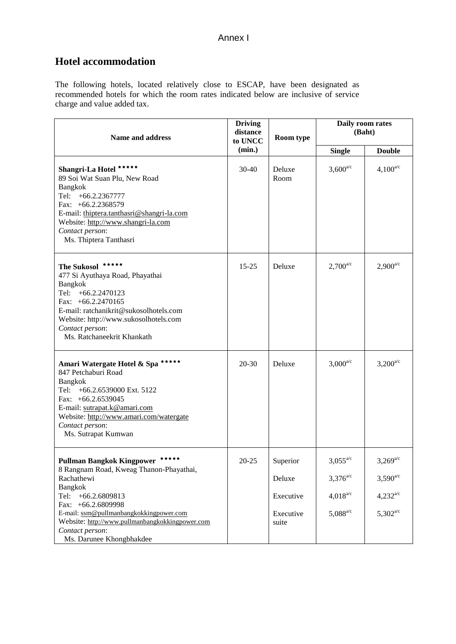# Annex I

# **Hotel accommodation**

The following hotels, located relatively close to ESCAP, have been designated as recommended hotels for which the room rates indicated below are inclusive of service charge and value added tax.

| <b>Name and address</b>                                                                                                                                                                                                                                                                             | <b>Driving</b><br>distance<br>to UNCC<br>(min.) | Room type                                             | Daily room rates<br>(Baht)                                       |                                                                  |
|-----------------------------------------------------------------------------------------------------------------------------------------------------------------------------------------------------------------------------------------------------------------------------------------------------|-------------------------------------------------|-------------------------------------------------------|------------------------------------------------------------------|------------------------------------------------------------------|
|                                                                                                                                                                                                                                                                                                     |                                                 |                                                       | <b>Single</b>                                                    | <b>Double</b>                                                    |
| Shangri-La Hotel *****<br>89 Soi Wat Suan Plu, New Road<br><b>Bangkok</b><br>Tel: +66.2.2367777<br>Fax: +66.2.2368579<br>E-mail: thiptera.tanthasri@shangri-la.com<br>Website: http://www.shangri-la.com<br>Contact person:<br>Ms. Thiptera Tanthasri                                               | $30 - 40$                                       | Deluxe<br>Room                                        | $3,600^{a/c}$                                                    | $4,100^{a/c}$                                                    |
| *****<br><b>The Sukosol</b><br>477 Si Ayuthaya Road, Phayathai<br><b>Bangkok</b><br>$+66.2.2470123$<br>Tel:<br>Fax: $+66.2.2470165$<br>E-mail: ratchanikrit@sukosolhotels.com<br>Website: http://www.sukosolhotels.com<br>Contact person:<br>Ms. Ratchaneekrit Khankath                             | $15 - 25$                                       | Deluxe                                                | $2,700^{a/c}$                                                    | $2,900^{a/c}$                                                    |
| Amari Watergate Hotel & Spa *****<br>847 Petchaburi Road<br><b>Bangkok</b><br>Tel: +66.2.6539000 Ext. 5122<br>Fax: $+66.2.6539045$<br>E-mail: sutrapat.k@amari.com<br>Website: http://www.amari.com/watergate<br>Contact person:<br>Ms. Sutrapat Kumwan                                             | $20 - 30$                                       | Deluxe                                                | $3,000^{a/c}$                                                    | $3,200^{a/c}$                                                    |
| Pullman Bangkok Kingpower *****<br>8 Rangnam Road, Kweag Thanon-Phayathai,<br>Rachathewi<br><b>Bangkok</b><br>Tel: +66.2.6809813<br>Fax: +66.2.6809998<br>E-mail: ssm@pullmanbangkokkingpower.com<br>Website: http://www.pullmanbangkokkingpower.com<br>Contact person:<br>Ms. Darunee Khongbhakdee | $20 - 25$                                       | Superior<br>Deluxe<br>Executive<br>Executive<br>suite | $3,055^{a/c}$<br>$3,376^{a/c}$<br>$4,018^{a/c}$<br>$5,088^{a/c}$ | $3,269^{a/c}$<br>$3,590^{a/c}$<br>$4,232^{a/c}$<br>$5,302^{a/c}$ |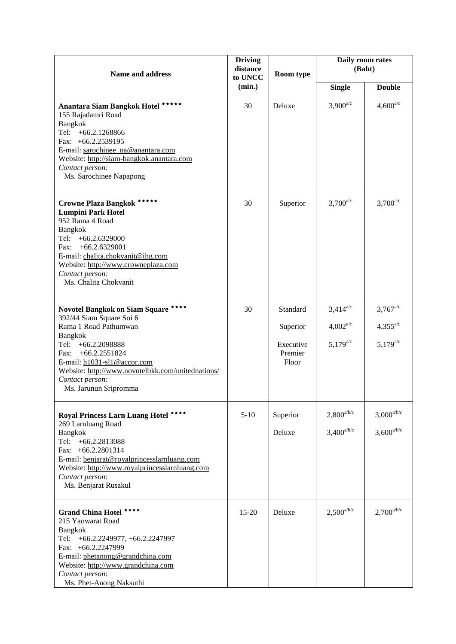| <b>Name and address</b>                                                                                                                                                                                                                                                              | <b>Driving</b><br>distance<br>to UNCC<br>(min.) | Room type                                             | Daily room rates<br>(Baht)                      |                                                          |
|--------------------------------------------------------------------------------------------------------------------------------------------------------------------------------------------------------------------------------------------------------------------------------------|-------------------------------------------------|-------------------------------------------------------|-------------------------------------------------|----------------------------------------------------------|
|                                                                                                                                                                                                                                                                                      |                                                 |                                                       | <b>Single</b>                                   | <b>Double</b>                                            |
| Anantara Siam Bangkok Hotel *****<br>155 Rajadamri Road<br>Bangkok<br>Tel:<br>$+66.2.1268866$<br>Fax: +66.2.2539195<br>E-mail: sarochinee_na@anantara.com<br>Website: http://siam-bangkok.anantara.com<br>Contact person:<br>Ms. Sarochinee Napapong                                 | 30                                              | Deluxe                                                | $3,900^{a/c}$                                   | $4,600^{a/c}$                                            |
| Crowne Plaza Bangkok *****<br><b>Lumpini Park Hotel</b><br>952 Rama 4 Road<br>Bangkok<br>$+66.2.6329000$<br>Tel:<br>$+66.2.6329001$<br>Fax:<br>E-mail: chalita.chokvanit@ihg.com<br>Website: http://www.crowneplaza.com<br>Contact person:<br>Ms. Chalita Chokvanit                  | 30                                              | Superior                                              | $3,700^{a/c}$                                   | $3,700^{a/c}$                                            |
| Novotel Bangkok on Siam Square ****<br>392/44 Siam Square Soi 6<br>Rama 1 Road Pathumwan<br>Bangkok<br>Tel: +66.2.2098888<br>$+66.2.2551824$<br>Fax:<br>E-mail: h1031-sl1@accor.com<br>Website: http://www.novotelbkk.com/unitednations/<br>Contact person:<br>Ms. Jarunun Sripromma | 30                                              | Standard<br>Superior<br>Executive<br>Premier<br>Floor | $3,414^{a/c}$<br>$4,002^{a/c}$<br>$5,179^{a/c}$ | $3,767^{a/c}$<br>$4,355^{a/c}$<br>$5,179^{a/c}$          |
| Royal Princess Larn Luang Hotel ****<br>269 Larnluang Road<br><b>Bangkok</b><br>Tel: $+66.2.2813088$<br>Fax: $+66.2.2801314$<br>E-mail: benjarat@royalprincesslarnluang.com<br>Website: http://www.royalprincesslarnluang.com<br>Contact person:<br>Ms. Benjarat Rusakul             | $5-10$                                          | Superior<br>Deluxe                                    | $2,800^{a/b/c}$<br>$3,400^{a/b/c}$              | $3{,}000^{\mathrm{a/b/c}}$<br>$3{,}600^{\mathrm{a/b/c}}$ |
| Grand China Hotel ****<br>215 Yaowarat Road<br>Bangkok<br>Tel: +66.2.2249977, +66.2.2247997<br>Fax: +66.2.2247999<br>E-mail: phetanong@grandchina.com<br>Website: http://www.grandchina.com<br>Contact person:<br>Ms. Phet-Anong Naksuthi                                            | $15 - 20$                                       | Deluxe                                                | $2,500^{a/b/c}$                                 | $2{,}700^{\mathrm{a/b/c}}$                               |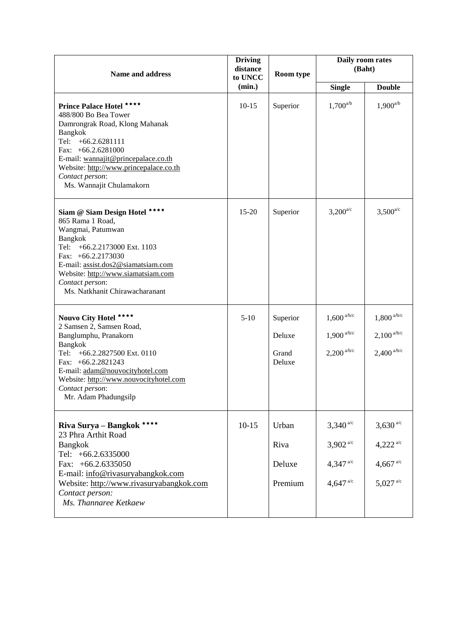| <b>Name and address</b>                                                                                                                                                                                                                                                          | <b>Driving</b><br>distance<br>to UNCC | Room type                             | Daily room rates<br>(Baht)                                             |                                                                             |
|----------------------------------------------------------------------------------------------------------------------------------------------------------------------------------------------------------------------------------------------------------------------------------|---------------------------------------|---------------------------------------|------------------------------------------------------------------------|-----------------------------------------------------------------------------|
|                                                                                                                                                                                                                                                                                  | (min.)                                |                                       | <b>Single</b>                                                          | <b>Double</b>                                                               |
| Prince Palace Hotel ****<br>488/800 Bo Bea Tower<br>Damrongrak Road, Klong Mahanak<br>Bangkok<br>Tel:<br>$+66.2.6281111$<br>Fax: $+66.2.6281000$<br>E-mail: wannajit@princepalace.co.th<br>Website: http://www.princepalace.co.th<br>Contact person:<br>Ms. Wannajit Chulamakorn | $10-15$                               | Superior                              | $1,700^{a/b}$                                                          | $1,900^{a/b}$                                                               |
| Siam @ Siam Design Hotel ****<br>865 Rama 1 Road,<br>Wangmai, Patumwan<br>Bangkok<br>Tel:<br>+66.2.2173000 Ext. 1103<br>Fax: $+66.2.2173030$<br>E-mail: assist.dos2@siamatsiam.com<br>Website: http://www.siamatsiam.com<br>Contact person:<br>Ms. Natkhanit Chirawacharanant    | $15 - 20$                             | Superior                              | $3,200^{a/c}$                                                          | $3,500^{a/c}$                                                               |
| Nouvo City Hotel ****<br>2 Samsen 2, Samsen Road,<br>Banglumphu, Pranakorn<br>Bangkok<br>Tel:<br>+66.2.2827500 Ext. 0110<br>Fax: $+66.2.2821243$<br>E-mail: adam@nouvocityhotel.com<br>Website: http://www.nouvocityhotel.com<br>Contact person:<br>Mr. Adam Phadungsilp         | $5-10$                                | Superior<br>Deluxe<br>Grand<br>Deluxe | $1,600^{a/b/c}$<br>$1,900^{a/b/c}$<br>$2,200^{a/b/c}$                  | $1,\!800^{\,\mathrm{a/b/c}}$<br>$2,100$ a/b/c<br>$2{,}400^{\mathrm{a/b/c}}$ |
| Riva Surya - Bangkok ****<br>23 Phra Arthit Road<br>Bangkok<br>Tel: +66.2.6335000<br>Fax: $+66.2.6335050$<br>E-mail: info@rivasuryabangkok.com<br>Website: http://www.rivasuryabangkok.com<br>Contact person:<br>Ms. Thannaree Ketkaew                                           | $10-15$                               | Urban<br>Riva<br>Deluxe<br>Premium    | $3,340^{a/c}$<br>$3,902^{a/c}$<br>4,347 $a/c$<br>4,647 $^{\text{a/c}}$ | $3,630^{a/c}$<br>4,222 $a/c$<br>4,667 $a/c$<br>$5,027$ <sup>a/c</sup>       |